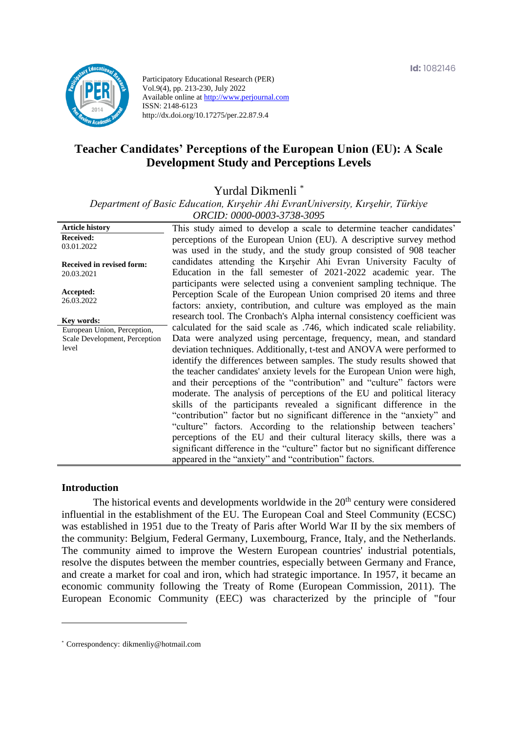

Participatory Educational Research (PER) Vol.9(4), pp. 213-230, July 2022 Available online at http://www.perjournal.com ISSN: 2148-6123 http://dx.doi.org/10.17275/per.22.87.9.4

# **Teacher Candidates' Perceptions of the European Union (EU): A Scale Development Study and Perceptions Levels**

Yurdal Dikmenli \*

*Department of Basic Education, Kırşehir Ahi EvranUniversity, Kırşehir, Türkiye ORCID: 0000-0003-3738-3095*

| <b>Article history</b>                         | This study aimed to develop a scale to determine teacher candidates'                                                                                                                                                                                                                                                                                                                                                                                                                                                                                                                                                                                                                                                                                                                                                                                                                               |
|------------------------------------------------|----------------------------------------------------------------------------------------------------------------------------------------------------------------------------------------------------------------------------------------------------------------------------------------------------------------------------------------------------------------------------------------------------------------------------------------------------------------------------------------------------------------------------------------------------------------------------------------------------------------------------------------------------------------------------------------------------------------------------------------------------------------------------------------------------------------------------------------------------------------------------------------------------|
| <b>Received:</b><br>03.01.2022                 | perceptions of the European Union (EU). A descriptive survey method<br>was used in the study, and the study group consisted of 908 teacher                                                                                                                                                                                                                                                                                                                                                                                                                                                                                                                                                                                                                                                                                                                                                         |
| <b>Received in revised form:</b><br>20.03.2021 | candidates attending the Kirsehir Ahi Evran University Faculty of<br>Education in the fall semester of 2021-2022 academic year. The<br>participants were selected using a convenient sampling technique. The                                                                                                                                                                                                                                                                                                                                                                                                                                                                                                                                                                                                                                                                                       |
| Accepted:<br>26.03.2022                        | Perception Scale of the European Union comprised 20 items and three<br>factors: anxiety, contribution, and culture was employed as the main                                                                                                                                                                                                                                                                                                                                                                                                                                                                                                                                                                                                                                                                                                                                                        |
| Key words:                                     | research tool. The Cronbach's Alpha internal consistency coefficient was                                                                                                                                                                                                                                                                                                                                                                                                                                                                                                                                                                                                                                                                                                                                                                                                                           |
| European Union, Perception,                    | calculated for the said scale as .746, which indicated scale reliability.                                                                                                                                                                                                                                                                                                                                                                                                                                                                                                                                                                                                                                                                                                                                                                                                                          |
| Scale Development, Perception<br>level         | Data were analyzed using percentage, frequency, mean, and standard<br>deviation techniques. Additionally, t-test and ANOVA were performed to<br>identify the differences between samples. The study results showed that<br>the teacher candidates' anxiety levels for the European Union were high,<br>and their perceptions of the "contribution" and "culture" factors were<br>moderate. The analysis of perceptions of the EU and political literacy<br>skills of the participants revealed a significant difference in the<br>"contribution" factor but no significant difference in the "anxiety" and<br>"culture" factors. According to the relationship between teachers'<br>perceptions of the EU and their cultural literacy skills, there was a<br>significant difference in the "culture" factor but no significant difference<br>appeared in the "anxiety" and "contribution" factors. |

#### **Introduction**

The historical events and developments worldwide in the  $20<sup>th</sup>$  century were considered influential in the establishment of the EU. The European Coal and Steel Community (ECSC) was established in 1951 due to the Treaty of Paris after World War II by the six members of the community: Belgium, Federal Germany, Luxembourg, France, Italy, and the Netherlands. The community aimed to improve the Western European countries' industrial potentials, resolve the disputes between the member countries, especially between Germany and France, and create a market for coal and iron, which had strategic importance. In 1957, it became an economic community following the Treaty of Rome (European Commission, 2011). The European Economic Community (EEC) was characterized by the principle of "four

<sup>\*</sup> [Correspondency:](mailto:Correspondency:) dikmenliy@hotmail.com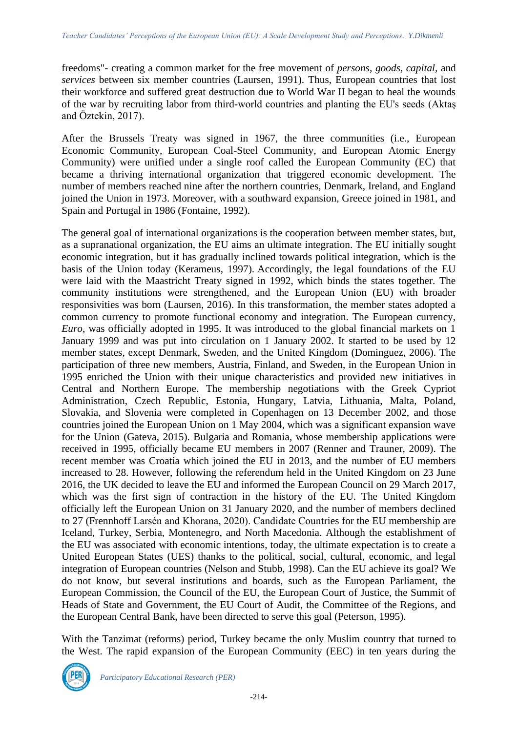freedoms"- creating a common market for the free movement of *persons, goods, capital,* and *services* between six member countries (Laursen, 1991). Thus, European countries that lost their workforce and suffered great destruction due to World War II began to heal the wounds of the war by recruiting labor from third-world countries and planting the EU's seeds (Aktaş and Öztekin, 2017).

After the Brussels Treaty was signed in 1967, the three communities (i.e., European Economic Community, European Coal-Steel Community, and European Atomic Energy Community) were unified under a single roof called the European Community (EC) that became a thriving international organization that triggered economic development. The number of members reached nine after the northern countries, Denmark, Ireland, and England joined the Union in 1973. Moreover, with a southward expansion, Greece joined in 1981, and Spain and Portugal in 1986 (Fontaine, 1992).

The general goal of international organizations is the cooperation between member states, but, as a supranational organization, the EU aims an ultimate integration. The EU initially sought economic integration, but it has gradually inclined towards political integration, which is the basis of the Union today (Kerameus, 1997). Accordingly, the legal foundations of the EU were laid with the Maastricht Treaty signed in 1992, which binds the states together. The community institutions were strengthened, and the European Union (EU) with broader responsivities was born (Laursen, 2016). In this transformation, the member states adopted a common currency to promote functional economy and integration. The European currency, *Euro*, was officially adopted in 1995. It was introduced to the global financial markets on 1 January 1999 and was put into circulation on 1 January 2002. It started to be used by 12 member states, except Denmark, Sweden, and the United Kingdom (Dominguez, 2006). The participation of three new members, Austria, Finland, and Sweden, in the European Union in 1995 enriched the Union with their unique characteristics and provided new initiatives in Central and Northern Europe. The membership negotiations with the Greek Cypriot Administration, Czech Republic, Estonia, Hungary, Latvia, Lithuania, Malta, Poland, Slovakia, and Slovenia were completed in Copenhagen on 13 December 2002, and those countries joined the European Union on 1 May 2004, which was a significant expansion wave for the Union (Gateva, 2015). Bulgaria and Romania, whose membership applications were received in 1995, officially became EU members in 2007 (Renner and Trauner, 2009). The recent member was Croatia which joined the EU in 2013, and the number of EU members increased to 28. However, following the referendum held in the United Kingdom on 23 June 2016, the UK decided to leave the EU and informed the European Council on 29 March 2017, which was the first sign of contraction in the history of the EU. The United Kingdom officially left the European Union on 31 January 2020, and the number of members declined to 27 (Frennhoff Larsén and Khorana, 2020). Candidate Countries for the EU membership are Iceland, Turkey, Serbia, Montenegro, and North Macedonia. Although the establishment of the EU was associated with economic intentions, today, the ultimate expectation is to create a United European States (UES) thanks to the political, social, cultural, economic, and legal integration of European countries (Nelson and Stubb, 1998). Can the EU achieve its goal? We do not know, but several institutions and boards, such as the European Parliament, the European Commission, the Council of the EU, the European Court of Justice, the Summit of Heads of State and Government, the EU Court of Audit, the Committee of the Regions, and the European Central Bank, have been directed to serve this goal (Peterson, 1995).

With the Tanzimat (reforms) period, Turkey became the only Muslim country that turned to the West. The rapid expansion of the European Community (EEC) in ten years during the

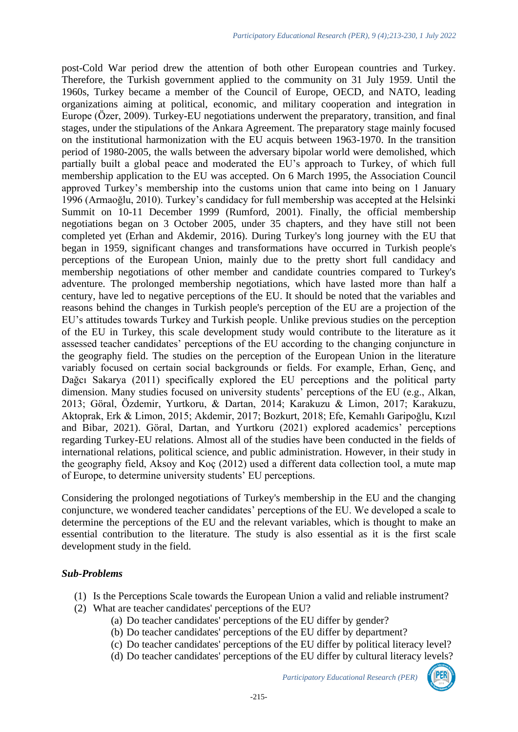post-Cold War period drew the attention of both other European countries and Turkey. Therefore, the Turkish government applied to the community on 31 July 1959. Until the 1960s, Turkey became a member of the Council of Europe, OECD, and NATO, leading organizations aiming at political, economic, and military cooperation and integration in Europe (Özer, 2009). Turkey-EU negotiations underwent the preparatory, transition, and final stages, under the stipulations of the Ankara Agreement. The preparatory stage mainly focused on the institutional harmonization with the EU acquis between 1963-1970. In the transition period of 1980-2005, the walls between the adversary bipolar world were demolished, which partially built a global peace and moderated the EU's approach to Turkey, of which full membership application to the EU was accepted. On 6 March 1995, the Association Council approved Turkey's membership into the customs union that came into being on 1 January 1996 (Armaoğlu, 2010). Turkey's candidacy for full membership was accepted at the Helsinki Summit on 10-11 December 1999 (Rumford, 2001). Finally, the official membership negotiations began on 3 October 2005, under 35 chapters, and they have still not been completed yet (Erhan and Akdemir, 2016). During Turkey's long journey with the EU that began in 1959, significant changes and transformations have occurred in Turkish people's perceptions of the European Union, mainly due to the pretty short full candidacy and membership negotiations of other member and candidate countries compared to Turkey's adventure. The prolonged membership negotiations, which have lasted more than half a century, have led to negative perceptions of the EU. It should be noted that the variables and reasons behind the changes in Turkish people's perception of the EU are a projection of the EU's attitudes towards Turkey and Turkish people. Unlike previous studies on the perception of the EU in Turkey, this scale development study would contribute to the literature as it assessed teacher candidates' perceptions of the EU according to the changing conjuncture in the geography field. The studies on the perception of the European Union in the literature variably focused on certain social backgrounds or fields. For example, Erhan, Genç, and Dağcı Sakarya (2011) specifically explored the EU perceptions and the political party dimension. Many studies focused on university students' perceptions of the EU (e.g., Alkan, 2013; Göral, Özdemir, Yurtkoru, & Dartan, 2014; Karakuzu & Limon, 2017; Karakuzu, Aktoprak, Erk & Limon, 2015; Akdemir, 2017; Bozkurt, 2018; Efe, Kemahlı Garipoğlu, Kızıl and Bibar, 2021). Göral, Dartan, and Yurtkoru (2021) explored academics' perceptions regarding Turkey-EU relations. Almost all of the studies have been conducted in the fields of international relations, political science, and public administration. However, in their study in the geography field, Aksoy and Koç (2012) used a different data collection tool, a mute map of Europe, to determine university students' EU perceptions.

Considering the prolonged negotiations of Turkey's membership in the EU and the changing conjuncture, we wondered teacher candidates' perceptions of the EU. We developed a scale to determine the perceptions of the EU and the relevant variables, which is thought to make an essential contribution to the literature. The study is also essential as it is the first scale development study in the field.

# *Sub-Problems*

- (1) Is the Perceptions Scale towards the European Union a valid and reliable instrument?
- (2) What are teacher candidates' perceptions of the EU?
	- (a) Do teacher candidates' perceptions of the EU differ by gender?
	- (b) Do teacher candidates' perceptions of the EU differ by department?
	- (c) Do teacher candidates' perceptions of the EU differ by political literacy level?
	- (d) Do teacher candidates' perceptions of the EU differ by cultural literacy levels?

*Participatory Educational Research (PER)*

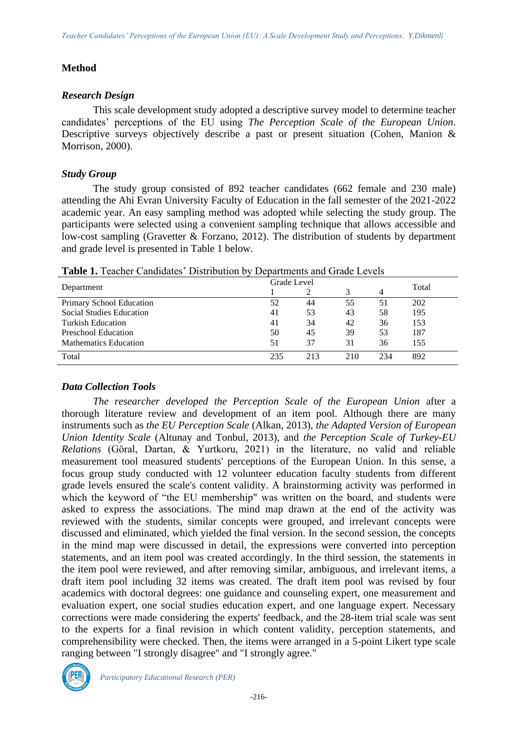# **Method**

# *Research Design*

This scale development study adopted a descriptive survey model to determine teacher candidates' perceptions of the EU using *The Perception Scale of the European Union*. Descriptive surveys objectively describe a past or present situation (Cohen, Manion & Morrison, 2000).

# *Study Group*

The study group consisted of 892 teacher candidates (662 female and 230 male) attending the Ahi Evran University Faculty of Education in the fall semester of the 2021-2022 academic year. An easy sampling method was adopted while selecting the study group. The participants were selected using a convenient sampling technique that allows accessible and low-cost sampling (Gravetter & Forzano, 2012). The distribution of students by department and grade level is presented in Table 1 below.

|                              | Grade Level |     |     |     |       |
|------------------------------|-------------|-----|-----|-----|-------|
| Department                   |             |     |     |     | Total |
| Primary School Education     | 52          | 44  | 55  | 51  | 202   |
| Social Studies Education     | 41          | 53  | 43  | 58  | 195   |
| Turkish Education            | 41          | 34  | 42  | 36  | 153   |
| Preschool Education          | 50          | 45  | 39  | 53  | 187   |
| <b>Mathematics Education</b> | 51          | 37  | 31  | 36  | 155   |
| Total                        | 235         | 213 | 210 | 234 | 892   |

**Table 1.** Teacher Candidates' Distribution by Departments and Grade Levels

# *Data Collection Tools*

*The researcher developed the Perception Scale of the European Union* after a thorough literature review and development of an item pool. Although there are many instruments such as *the EU Perception Scale* (Alkan, 2013), *the Adapted Version of European Union Identity Scale* (Altunay and Tonbul, 2013), and *the Perception Scale of Turkey-EU Relations* (Göral, Dartan, & Yurtkoru, 2021) in the literature, no valid and reliable measurement tool measured students' perceptions of the European Union. In this sense, a focus group study conducted with 12 volunteer education faculty students from different grade levels ensured the scale's content validity. A brainstorming activity was performed in which the keyword of "the EU membership" was written on the board, and students were asked to express the associations. The mind map drawn at the end of the activity was reviewed with the students, similar concepts were grouped, and irrelevant concepts were discussed and eliminated, which yielded the final version. In the second session, the concepts in the mind map were discussed in detail, the expressions were converted into perception statements, and an item pool was created accordingly. In the third session, the statements in the item pool were reviewed, and after removing similar, ambiguous, and irrelevant items, a draft item pool including 32 items was created. The draft item pool was revised by four academics with doctoral degrees: one guidance and counseling expert, one measurement and evaluation expert, one social studies education expert, and one language expert. Necessary corrections were made considering the experts' feedback, and the 28-item trial scale was sent to the experts for a final revision in which content validity, perception statements, and comprehensibility were checked. Then, the items were arranged in a 5-point Likert type scale ranging between "I strongly disagree" and "I strongly agree."

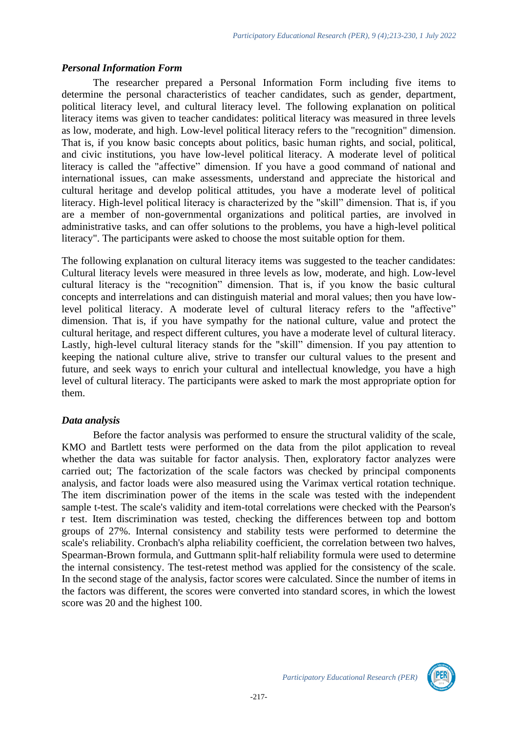#### *Personal Information Form*

The researcher prepared a Personal Information Form including five items to determine the personal characteristics of teacher candidates, such as gender, department, political literacy level, and cultural literacy level. The following explanation on political literacy items was given to teacher candidates: political literacy was measured in three levels as low, moderate, and high. Low-level political literacy refers to the "recognition" dimension. That is, if you know basic concepts about politics, basic human rights, and social, political, and civic institutions, you have low-level political literacy. A moderate level of political literacy is called the "affective" dimension. If you have a good command of national and international issues, can make assessments, understand and appreciate the historical and cultural heritage and develop political attitudes, you have a moderate level of political literacy. High-level political literacy is characterized by the "skill" dimension. That is, if you are a member of non-governmental organizations and political parties, are involved in administrative tasks, and can offer solutions to the problems, you have a high-level political literacy". The participants were asked to choose the most suitable option for them.

The following explanation on cultural literacy items was suggested to the teacher candidates: Cultural literacy levels were measured in three levels as low, moderate, and high. Low-level cultural literacy is the "recognition" dimension. That is, if you know the basic cultural concepts and interrelations and can distinguish material and moral values; then you have lowlevel political literacy. A moderate level of cultural literacy refers to the "affective" dimension. That is, if you have sympathy for the national culture, value and protect the cultural heritage, and respect different cultures, you have a moderate level of cultural literacy. Lastly, high-level cultural literacy stands for the "skill" dimension. If you pay attention to keeping the national culture alive, strive to transfer our cultural values to the present and future, and seek ways to enrich your cultural and intellectual knowledge, you have a high level of cultural literacy. The participants were asked to mark the most appropriate option for them.

# *Data analysis*

Before the factor analysis was performed to ensure the structural validity of the scale, KMO and Bartlett tests were performed on the data from the pilot application to reveal whether the data was suitable for factor analysis. Then, exploratory factor analyzes were carried out; The factorization of the scale factors was checked by principal components analysis, and factor loads were also measured using the Varimax vertical rotation technique. The item discrimination power of the items in the scale was tested with the independent sample t-test. The scale's validity and item-total correlations were checked with the Pearson's r test. Item discrimination was tested, checking the differences between top and bottom groups of 27%. Internal consistency and stability tests were performed to determine the scale's reliability. Cronbach's alpha reliability coefficient, the correlation between two halves, Spearman-Brown formula, and Guttmann split-half reliability formula were used to determine the internal consistency. The test-retest method was applied for the consistency of the scale. In the second stage of the analysis, factor scores were calculated. Since the number of items in the factors was different, the scores were converted into standard scores, in which the lowest score was 20 and the highest 100.

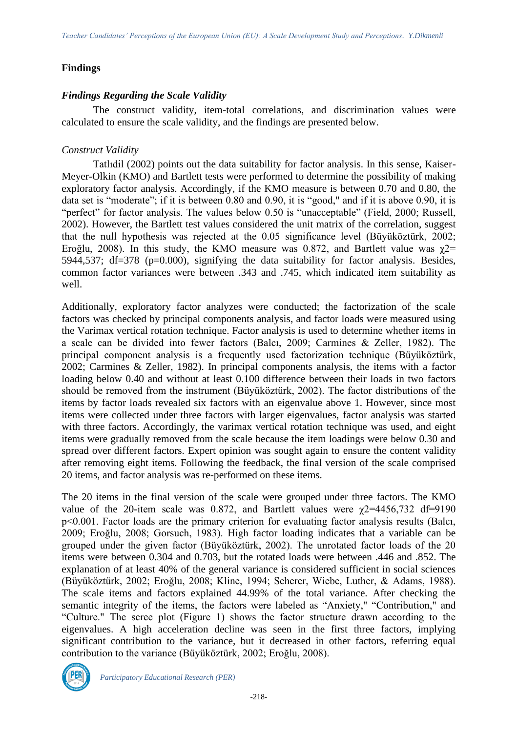# **Findings**

#### *Findings Regarding the Scale Validity*

The construct validity, item-total correlations, and discrimination values were calculated to ensure the scale validity, and the findings are presented below.

# *Construct Validity*

Tatlıdil (2002) points out the data suitability for factor analysis. In this sense, Kaiser-Meyer-Olkin (KMO) and Bartlett tests were performed to determine the possibility of making exploratory factor analysis. Accordingly, if the KMO measure is between 0.70 and 0.80, the data set is "moderate"; if it is between 0.80 and 0.90, it is "good," and if it is above 0.90, it is "perfect" for factor analysis. The values below 0.50 is "unacceptable" (Field, 2000; Russell, 2002). However, the Bartlett test values considered the unit matrix of the correlation, suggest that the null hypothesis was rejected at the 0.05 significance level (Büyüköztürk, 2002; Eroğlu, 2008). In this study, the KMO measure was 0.872, and Bartlett value was  $\chi$ 2= 5944,537; df=378 (p=0.000), signifying the data suitability for factor analysis. Besides, common factor variances were between .343 and .745, which indicated item suitability as well.

Additionally, exploratory factor analyzes were conducted; the factorization of the scale factors was checked by principal components analysis, and factor loads were measured using the Varimax vertical rotation technique. Factor analysis is used to determine whether items in a scale can be divided into fewer factors (Balcı, 2009; Carmines & Zeller, 1982). The principal component analysis is a frequently used factorization technique (Büyüköztürk, 2002; Carmines & Zeller, 1982). In principal components analysis, the items with a factor loading below 0.40 and without at least 0.100 difference between their loads in two factors should be removed from the instrument (Büyüköztürk, 2002). The factor distributions of the items by factor loads revealed six factors with an eigenvalue above 1. However, since most items were collected under three factors with larger eigenvalues, factor analysis was started with three factors. Accordingly, the varimax vertical rotation technique was used, and eight items were gradually removed from the scale because the item loadings were below 0.30 and spread over different factors. Expert opinion was sought again to ensure the content validity after removing eight items. Following the feedback, the final version of the scale comprised 20 items, and factor analysis was re-performed on these items.

The 20 items in the final version of the scale were grouped under three factors. The KMO value of the 20-item scale was 0.872, and Bartlett values were  $\gamma$ 2=4456,732 df=9190 p<0.001. Factor loads are the primary criterion for evaluating factor analysis results (Balcı, 2009; Eroğlu, 2008; Gorsuch, 1983). High factor loading indicates that a variable can be grouped under the given factor (Büyüköztürk, 2002). The unrotated factor loads of the 20 items were between 0.304 and 0.703, but the rotated loads were between .446 and .852. The explanation of at least 40% of the general variance is considered sufficient in social sciences (Büyüköztürk, 2002; Eroğlu, 2008; Kline, 1994; Scherer, Wiebe, Luther, & Adams, 1988). The scale items and factors explained 44.99% of the total variance. After checking the semantic integrity of the items, the factors were labeled as "Anxiety," "Contribution," and "Culture." The scree plot (Figure 1) shows the factor structure drawn according to the eigenvalues. A high acceleration decline was seen in the first three factors, implying significant contribution to the variance, but it decreased in other factors, referring equal contribution to the variance (Büyüköztürk, 2002; Eroğlu, 2008).



*Participatory Educational Research (PER)*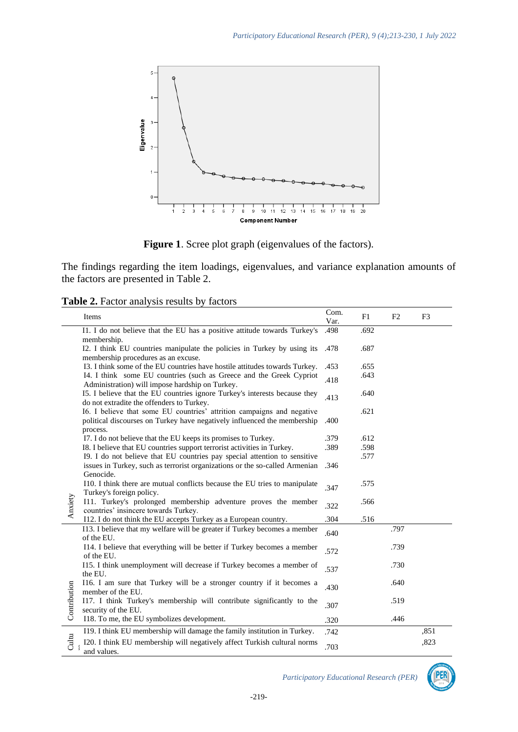

**Figure 1**. Scree plot graph (eigenvalues of the factors).

The findings regarding the item loadings, eigenvalues, and variance explanation amounts of the factors are presented in Table 2.

|              | Items                                                                                                                                                          | Com.<br>Var. | F1   | F <sub>2</sub> | F <sub>3</sub> |
|--------------|----------------------------------------------------------------------------------------------------------------------------------------------------------------|--------------|------|----------------|----------------|
|              | I1. I do not believe that the EU has a positive attitude towards Turkey's<br>membership.                                                                       | .498         | .692 |                |                |
|              | I2. I think EU countries manipulate the policies in Turkey by using its<br>membership procedures as an excuse.                                                 | .478         | .687 |                |                |
|              | I3. I think some of the EU countries have hostile attitudes towards Turkey.                                                                                    | .453         | .655 |                |                |
|              | I4. I think some EU countries (such as Greece and the Greek Cypriot<br>Administration) will impose hardship on Turkey.                                         | .418         | .643 |                |                |
|              | 15. I believe that the EU countries ignore Turkey's interests because they<br>do not extradite the offenders to Turkey.                                        | .413         | .640 |                |                |
|              | I6. I believe that some EU countries' attrition campaigns and negative<br>political discourses on Turkey have negatively influenced the membership<br>process. | .400         | .621 |                |                |
|              | I7. I do not believe that the EU keeps its promises to Turkey.                                                                                                 | .379         | .612 |                |                |
|              | I8. I believe that EU countries support terrorist activities in Turkey.                                                                                        | .389         | .598 |                |                |
|              | I9. I do not believe that EU countries pay special attention to sensitive<br>issues in Turkey, such as terrorist organizations or the so-called Armenian       | .346         | .577 |                |                |
|              | Genocide.<br>I10. I think there are mutual conflicts because the EU tries to manipulate<br>Turkey's foreign policy.                                            | .347         | .575 |                |                |
| Anxiety      | I11. Turkey's prolonged membership adventure proves the member<br>countries' insincere towards Turkey.                                                         | .322         | .566 |                |                |
|              | I12. I do not think the EU accepts Turkey as a European country.                                                                                               | .304         | .516 |                |                |
|              | I13. I believe that my welfare will be greater if Turkey becomes a member<br>of the EU.                                                                        | .640         |      | .797           |                |
|              | I14. I believe that everything will be better if Turkey becomes a member<br>of the EU.                                                                         | .572         |      | .739           |                |
|              | I15. I think unemployment will decrease if Turkey becomes a member of<br>the EU.                                                                               | .537         |      | .730           |                |
|              | I16. I am sure that Turkey will be a stronger country if it becomes a<br>member of the EU.                                                                     | .430         |      | .640           |                |
| Contribution | I17. I think Turkey's membership will contribute significantly to the<br>security of the EU.                                                                   | .307         |      | .519           |                |
|              | 118. To me, the EU symbolizes development.                                                                                                                     | .320         |      | .446           |                |
|              | I19. I think EU membership will damage the family institution in Turkey.                                                                                       | .742         |      |                | ,851           |
| Cultu        | I20. I think EU membership will negatively affect Turkish cultural norms<br>and values.                                                                        | .703         |      |                | ,823           |

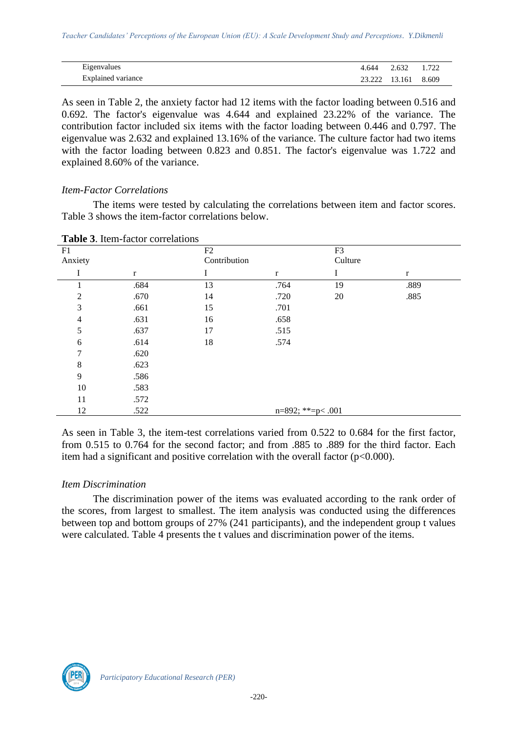| Eigenvalues               | 4.644 2.632 |                     | 1.722 |
|---------------------------|-------------|---------------------|-------|
| <b>Explained variance</b> |             | 23.222 13.161 8.609 |       |

As seen in Table 2, the anxiety factor had 12 items with the factor loading between 0.516 and 0.692. The factor's eigenvalue was 4.644 and explained 23.22% of the variance. The contribution factor included six items with the factor loading between 0.446 and 0.797. The eigenvalue was 2.632 and explained 13.16% of the variance. The culture factor had two items with the factor loading between 0.823 and 0.851. The factor's eigenvalue was 1.722 and explained 8.60% of the variance.

#### *Item-Factor Correlations*

The items were tested by calculating the correlations between item and factor scores. Table 3 shows the item-factor correlations below.

| F1             |             | F2           |                        | F <sub>3</sub> |      |
|----------------|-------------|--------------|------------------------|----------------|------|
| Anxiety        |             | Contribution |                        | Culture        |      |
| I              | $\mathbf r$ | I            | $\mathbf r$            | Ι              | r    |
|                | .684        | 13           | .764                   | 19             | .889 |
| $\overline{2}$ | .670        | 14           | .720                   | 20             | .885 |
| 3              | .661        | 15           | .701                   |                |      |
| $\overline{4}$ | .631        | 16           | .658                   |                |      |
| 5              | .637        | 17           | .515                   |                |      |
| 6              | .614        | 18           | .574                   |                |      |
| 7              | .620        |              |                        |                |      |
| 8              | .623        |              |                        |                |      |
| 9              | .586        |              |                        |                |      |
| 10             | .583        |              |                        |                |      |
| 11             | .572        |              |                        |                |      |
| 12             | .522        |              | $n=892$ ; **= $p<.001$ |                |      |

**Table 3**. Item-factor correlations

As seen in Table 3, the item-test correlations varied from 0.522 to 0.684 for the first factor, from 0.515 to 0.764 for the second factor; and from .885 to .889 for the third factor. Each item had a significant and positive correlation with the overall factor  $(p<0.000)$ .

#### *Item Discrimination*

The discrimination power of the items was evaluated according to the rank order of the scores, from largest to smallest. The item analysis was conducted using the differences between top and bottom groups of 27% (241 participants), and the independent group t values were calculated. Table 4 presents the t values and discrimination power of the items.

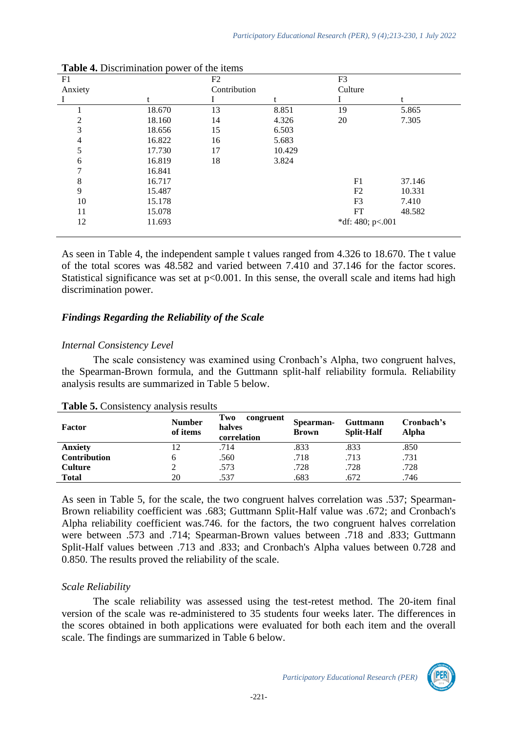| F1      |        | F2           |        | F <sub>3</sub>   |        |  |
|---------|--------|--------------|--------|------------------|--------|--|
| Anxiety |        | Contribution |        | Culture          |        |  |
|         | t      |              | t      |                  | t      |  |
|         | 18.670 | 13           | 8.851  | 19               | 5.865  |  |
| 2       | 18.160 | 14           | 4.326  | 20               | 7.305  |  |
| 3       | 18.656 | 15           | 6.503  |                  |        |  |
| 4       | 16.822 | 16           | 5.683  |                  |        |  |
| 5       | 17.730 | 17           | 10.429 |                  |        |  |
| 6       | 16.819 | 18           | 3.824  |                  |        |  |
| 7       | 16.841 |              |        |                  |        |  |
| 8       | 16.717 |              |        | F1               | 37.146 |  |
| 9       | 15.487 |              |        | F2               | 10.331 |  |
| 10      | 15.178 |              |        | F <sub>3</sub>   | 7.410  |  |
| 11      | 15.078 |              |        | FT               | 48.582 |  |
| 12      | 11.693 |              |        | *df: 480; p<.001 |        |  |
|         |        |              |        |                  |        |  |

| <b>Table 4.</b> Discrimination power of the items |  |  |
|---------------------------------------------------|--|--|
|---------------------------------------------------|--|--|

As seen in Table 4, the independent sample t values ranged from 4.326 to 18.670. The t value of the total scores was 48.582 and varied between 7.410 and 37.146 for the factor scores. Statistical significance was set at  $p<0.001$ . In this sense, the overall scale and items had high discrimination power.

#### *Findings Regarding the Reliability of the Scale*

#### *Internal Consistency Level*

The scale consistency was examined using Cronbach's Alpha, two congruent halves, the Spearman-Brown formula, and the Guttmann split-half reliability formula. Reliability analysis results are summarized in Table 5 below.

| Factor              | <b>Number</b><br>of items | Two<br>congruent<br>halves<br>correlation | Spearman-<br><b>Brown</b> | <b>Guttmann</b><br><b>Split-Half</b> | Cronbach's<br>Alpha |
|---------------------|---------------------------|-------------------------------------------|---------------------------|--------------------------------------|---------------------|
| <b>Anxiety</b>      |                           | .714                                      | .833                      | .833                                 | .850                |
| <b>Contribution</b> | h                         | .560                                      | .718                      | .713                                 | .731                |
| <b>Culture</b>      |                           | .573                                      | .728                      | .728                                 | .728                |
| <b>Total</b>        | 20                        | .537                                      | .683                      | .672                                 | .746                |

|  | Table 5. Consistency analysis results |  |  |
|--|---------------------------------------|--|--|
|--|---------------------------------------|--|--|

As seen in Table 5, for the scale, the two congruent halves correlation was .537; Spearman-Brown reliability coefficient was .683; Guttmann Split-Half value was .672; and Cronbach's Alpha reliability coefficient was.746. for the factors, the two congruent halves correlation were between .573 and .714; Spearman-Brown values between .718 and .833; Guttmann Split-Half values between .713 and .833; and Cronbach's Alpha values between 0.728 and 0.850. The results proved the reliability of the scale.

#### *Scale Reliability*

The scale reliability was assessed using the test-retest method. The 20-item final version of the scale was re-administered to 35 students four weeks later. The differences in the scores obtained in both applications were evaluated for both each item and the overall scale. The findings are summarized in Table 6 below.

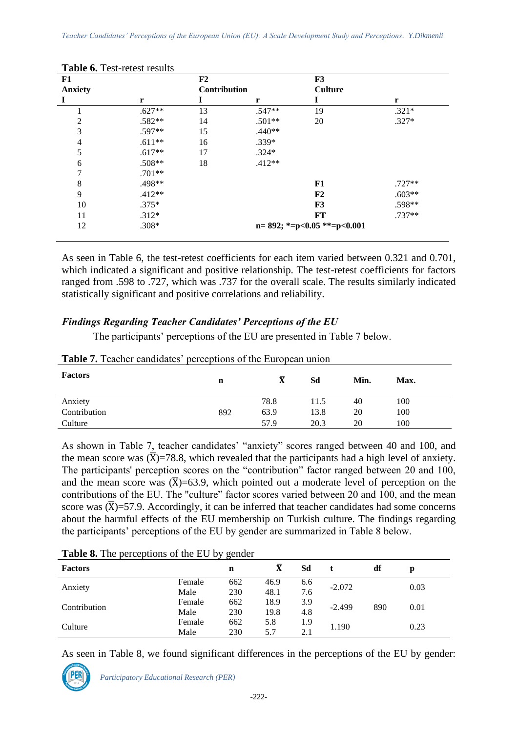| F1             |          | F2           |          | F3                                  |          |
|----------------|----------|--------------|----------|-------------------------------------|----------|
| <b>Anxiety</b> |          | Contribution |          | <b>Culture</b>                      |          |
|                | r        |              | r        |                                     | r        |
|                | $.627**$ | 13           | $.547**$ | 19                                  | $.321*$  |
| 2              | .582**   | 14           | .501**   | 20                                  | $.327*$  |
| 3              | .597**   | 15           | $.440**$ |                                     |          |
| 4              | $.611**$ | 16           | $.339*$  |                                     |          |
| 5              | $.617**$ | 17           | $.324*$  |                                     |          |
| 6              | $.508**$ | 18           | $.412**$ |                                     |          |
| 7              | $.701**$ |              |          |                                     |          |
| 8              | .498**   |              |          | F1                                  | $.727**$ |
| 9              | $.412**$ |              |          | F <sub>2</sub>                      | $.603**$ |
| 10             | $.375*$  |              |          | F3                                  | .598**   |
| 11             | $.312*$  |              |          | FT                                  | $.737**$ |
| 12             | $.308*$  |              |          | $n=892$ ; *= $p<0.05$ **= $p<0.001$ |          |

| <b>Table 6.</b> Test-retest results |
|-------------------------------------|
|-------------------------------------|

As seen in Table 6, the test-retest coefficients for each item varied between 0.321 and 0.701, which indicated a significant and positive relationship. The test-retest coefficients for factors ranged from .598 to .727, which was .737 for the overall scale. The results similarly indicated statistically significant and positive correlations and reliability.

# *Findings Regarding Teacher Candidates' Perceptions of the EU*

The participants' perceptions of the EU are presented in Table 7 below.

| <b>Factors</b> | n   | $\bar{\textbf{X}}$ | Sd   | Min. | Max. |
|----------------|-----|--------------------|------|------|------|
| Anxiety        |     | 78.8               | 11.5 | 40   | 100  |
| Contribution   | 892 | 63.9               | 13.8 | 20   | 100  |
| Culture        |     | 57.9               | 20.3 | 20   | 100  |

**Table 7.** Teacher candidates' perceptions of the European union

As shown in Table 7, teacher candidates' "anxiety" scores ranged between 40 and 100, and the mean score was  $(\overline{X})$ =78.8, which revealed that the participants had a high level of anxiety. The participants' perception scores on the "contribution" factor ranged between 20 and 100, and the mean score was  $(\overline{X})$ =63.9, which pointed out a moderate level of perception on the contributions of the EU. The "culture" factor scores varied between 20 and 100, and the mean score was  $(\overline{X})$ =57.9. Accordingly, it can be inferred that teacher candidates had some concerns about the harmful effects of the EU membership on Turkish culture. The findings regarding the participants' perceptions of the EU by gender are summarized in Table 8 below.

| <b>Factors</b> |        | $\mathbf n$ | $\bar{\mathbf{X}}$ | Sd  |          | df  | D    |  |
|----------------|--------|-------------|--------------------|-----|----------|-----|------|--|
| Anxiety        | Female | 662         | 46.9               | 6.6 | $-2.072$ |     | 0.03 |  |
|                | Male   | 230         | 48.1               | 7.6 |          |     |      |  |
|                | Female | 662         | 18.9               | 3.9 | $-2.499$ | 890 |      |  |
| Contribution   | Male   | 230         | 19.8               | 4.8 |          |     | 0.01 |  |
|                | Female | 662         | 5.8                | 1.9 |          |     |      |  |
| Culture        | Male   | 230         | 5.7                | 2.1 | 1.190    |     | 0.23 |  |

**Table 8.** The perceptions of the EU by gender

As seen in Table 8, we found significant differences in the perceptions of the EU by gender:

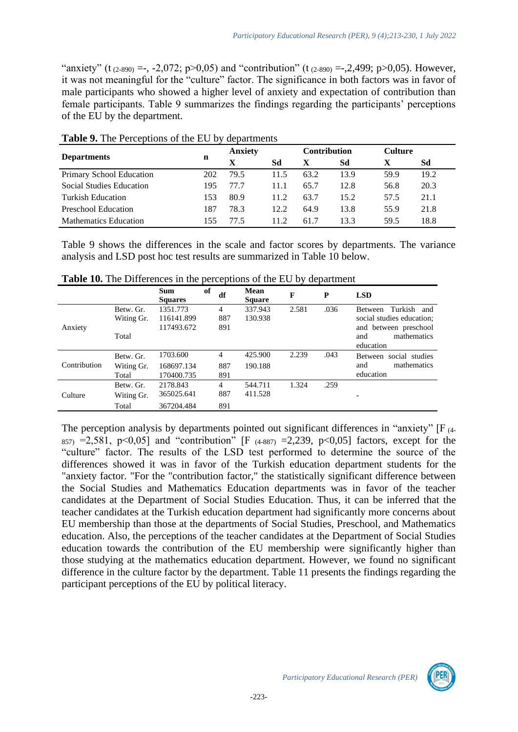"anxiety" (t  $(2-890) = -$ ,  $-2,072$ ;  $p > 0,05$ ) and "contribution" (t  $(2-890) = -2,499$ ;  $p > 0,05$ ). However, it was not meaningful for the "culture" factor. The significance in both factors was in favor of male participants who showed a higher level of anxiety and expectation of contribution than female participants. Table 9 summarizes the findings regarding the participants' perceptions of the EU by the department.

|                                 |     | <b>Anxiety</b> |      | <b>Contribution</b> |      | <b>Culture</b> |      |
|---------------------------------|-----|----------------|------|---------------------|------|----------------|------|
| <b>Departments</b>              | n   | X              | Sd   |                     | Sd   |                | Sd   |
| Primary School Education        | 202 | 79.5           | 11.5 | 63.2                | 13.9 | 59.9           | 19.2 |
| <b>Social Studies Education</b> | 195 | 77.7           | 11.1 | 65.7                | 12.8 | 56.8           | 20.3 |
| Turkish Education               | 153 | 80.9           | 11.2 | 63.7                | 15.2 | 57.5           | 21.1 |
| Preschool Education             | 187 | 78.3           | 12.2 | 64.9                | 13.8 | 55.9           | 21.8 |
| <b>Mathematics Education</b>    | 155 | 77.5           | 11.2 | 61.7                | 13.3 | 59.5           | 18.8 |

**Table 9.** The Perceptions of the EU by departments

Table 9 shows the differences in the scale and factor scores by departments. The variance analysis and LSD post hoc test results are summarized in Table 10 below.

|              |                                  | <b>Sum</b><br><b>Squares</b>         | of | df                           | <b>Mean</b><br><b>Square</b> | F     | P    | <b>LSD</b>                                                                                                             |
|--------------|----------------------------------|--------------------------------------|----|------------------------------|------------------------------|-------|------|------------------------------------------------------------------------------------------------------------------------|
| Anxiety      | Betw. Gr.<br>Witing Gr.<br>Total | 1351.773<br>116141.899<br>117493.672 |    | $\overline{4}$<br>887<br>891 | 337.943<br>130.938           | 2.581 | .036 | Turkish and<br><b>Between</b><br>social studies education;<br>and between preschool<br>mathematics<br>and<br>education |
| Contribution | Betw. Gr.<br>Witing Gr.<br>Total | 1703.600<br>168697.134<br>170400.735 |    | 4<br>887<br>891              | 425.900<br>190.188           | 2.239 | .043 | Between social studies<br>mathematics<br>and<br>education                                                              |
| Culture      | Betw. Gr.<br>Witing Gr.<br>Total | 2178.843<br>365025.641<br>367204.484 |    | 4<br>887<br>891              | 544.711<br>411.528           | 1.324 | .259 |                                                                                                                        |

**Table 10.** The Differences in the perceptions of the EU by department

The perception analysis by departments pointed out significant differences in "anxiety" [F (4-  $857)$  =2,581, p<0,05] and "contribution" [F  $(4-887)$  =2,239, p<0,05] factors, except for the "culture" factor. The results of the LSD test performed to determine the source of the differences showed it was in favor of the Turkish education department students for the "anxiety factor. "For the "contribution factor," the statistically significant difference between the Social Studies and Mathematics Education departments was in favor of the teacher candidates at the Department of Social Studies Education. Thus, it can be inferred that the teacher candidates at the Turkish education department had significantly more concerns about EU membership than those at the departments of Social Studies, Preschool, and Mathematics education. Also, the perceptions of the teacher candidates at the Department of Social Studies education towards the contribution of the EU membership were significantly higher than those studying at the mathematics education department. However, we found no significant difference in the culture factor by the department. Table 11 presents the findings regarding the participant perceptions of the EU by political literacy.

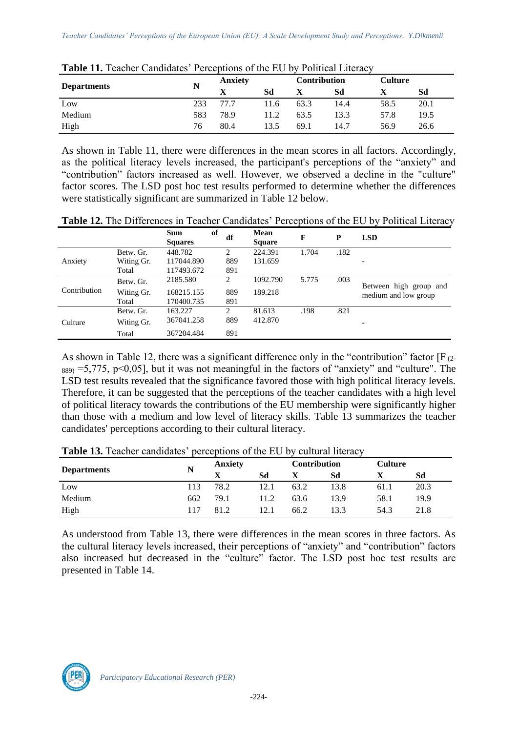| - - - - - - - - - - - - - - - |     |                |      |                     |      |      |                |  |  |
|-------------------------------|-----|----------------|------|---------------------|------|------|----------------|--|--|
|                               | N   | <b>Anxiety</b> |      | <b>Contribution</b> |      |      | <b>Culture</b> |  |  |
| <b>Departments</b>            |     |                | Sd   |                     | Sd   |      | Sd             |  |  |
| Low                           | 233 | 77.7           | 11.6 | 63.3                | 14.4 | 58.5 | 20.1           |  |  |
| Medium                        | 583 | 78.9           | 11.2 | 63.5                | 13.3 | 57.8 | 19.5           |  |  |
| High                          | 76  | 80.4           | 13.5 | 69.1                | 14.7 | 56.9 | 26.6           |  |  |

| Table 11. Teacher Candidates' Perceptions of the EU by Political Literacy |  |  |  |
|---------------------------------------------------------------------------|--|--|--|
|---------------------------------------------------------------------------|--|--|--|

As shown in Table 11, there were differences in the mean scores in all factors. Accordingly, as the political literacy levels increased, the participant's perceptions of the "anxiety" and "contribution" factors increased as well. However, we observed a decline in the "culture" factor scores. The LSD post hoc test results performed to determine whether the differences were statistically significant are summarized in Table 12 below.

|              |            | <b>Sum</b><br><b>Squares</b> | of | df  | <b>Mean</b><br><b>Square</b> | F     | P    | <b>LSD</b>             |
|--------------|------------|------------------------------|----|-----|------------------------------|-------|------|------------------------|
|              | Betw. Gr.  | 448.782                      |    | 2   | 224.391                      | 1.704 | .182 |                        |
| Anxiety      | Witing Gr. | 117044.890                   |    | 889 | 131.659                      |       |      |                        |
|              | Total      | 117493.672                   |    | 891 |                              |       |      |                        |
|              | Betw. Gr.  | 2185.580                     |    | 2   | 1092.790                     | 5.775 | .003 | Between high group and |
| Contribution | Witing Gr. | 168215.155                   |    | 889 | 189.218                      |       |      | medium and low group   |
|              | Total      | 170400.735                   |    | 891 |                              |       |      |                        |
|              | Betw. Gr.  | 163.227                      |    | 2   | 81.613                       | .198  | .821 |                        |
| Culture      | Witing Gr. | 367041.258                   |    | 889 | 412.870                      |       |      |                        |
|              | Total      | 367204.484                   |    | 891 |                              |       |      |                        |

As shown in Table 12, there was a significant difference only in the "contribution" factor  $[F_{(2-1)}]$  $889$  = 5,775, p < 0,05], but it was not meaningful in the factors of "anxiety" and "culture". The LSD test results revealed that the significance favored those with high political literacy levels. Therefore, it can be suggested that the perceptions of the teacher candidates with a high level of political literacy towards the contributions of the EU membership were significantly higher than those with a medium and low level of literacy skills. Table 13 summarizes the teacher candidates' perceptions according to their cultural literacy.

|                    |     | <b>Anxiety</b> |      | Contribution |      |      | Culture |  |
|--------------------|-----|----------------|------|--------------|------|------|---------|--|
| <b>Departments</b> | N   |                | Sd   |              | Sd   |      | Sd      |  |
| Low                | 113 | 78.2           | 12.1 | 63.2         | 13.8 | 61.1 | 20.3    |  |
| Medium             | 662 | 79.1           | 11.2 | 63.6         | 13.9 | 58.1 | 19.9    |  |
| High               | 117 | 81.2           | 12.1 | 66.2         | 13.3 | 54.3 | 21.8    |  |

**Table 13.** Teacher candidates' perceptions of the EU by cultural literacy

As understood from Table 13, there were differences in the mean scores in three factors. As the cultural literacy levels increased, their perceptions of "anxiety" and "contribution" factors also increased but decreased in the "culture" factor. The LSD post hoc test results are presented in Table 14.

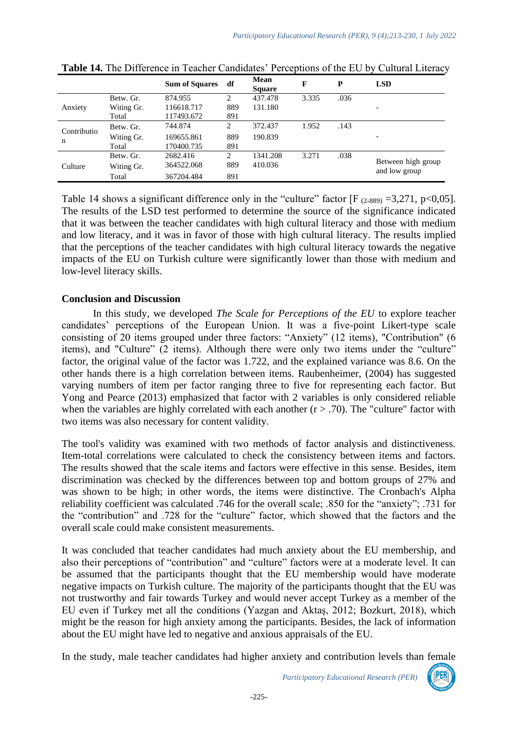|             |            | <b>Sum of Squares</b> | df  | Mean<br><b>Square</b> | F     | P    | <b>LSD</b>                          |
|-------------|------------|-----------------------|-----|-----------------------|-------|------|-------------------------------------|
|             | Betw. Gr.  | 874.955               | 2   | 437.478               | 3.335 | .036 |                                     |
| Anxiety     | Witing Gr. | 116618.717            | 889 | 131.180               |       |      |                                     |
|             | Total      | 117493.672            | 891 |                       |       |      |                                     |
| Contributio | Betw. Gr.  | 744.874               | 2   | 372.437               | 1.952 | .143 |                                     |
| n           | Witing Gr. | 169655.861            | 889 | 190.839               |       |      |                                     |
|             | Total      | 170400.735            | 891 |                       |       |      |                                     |
|             | Betw. Gr.  | 2682.416              | 2   | 1341.208              | 3.271 | .038 |                                     |
| Culture     | Witing Gr. | 364522.068            | 889 | 410.036               |       |      | Between high group<br>and low group |
|             | Total      | 367204.484            | 891 |                       |       |      |                                     |

| Table 14. The Difference in Teacher Candidates' Perceptions of the EU by Cultural Literacy |  |  |
|--------------------------------------------------------------------------------------------|--|--|
|--------------------------------------------------------------------------------------------|--|--|

Table 14 shows a significant difference only in the "culture" factor  $[F_{(2-889)} = 3,271, p < 0,05]$ . The results of the LSD test performed to determine the source of the significance indicated that it was between the teacher candidates with high cultural literacy and those with medium and low literacy, and it was in favor of those with high cultural literacy. The results implied that the perceptions of the teacher candidates with high cultural literacy towards the negative impacts of the EU on Turkish culture were significantly lower than those with medium and low-level literacy skills.

#### **Conclusion and Discussion**

In this study, we developed *The Scale for Perceptions of the EU* to explore teacher candidates' perceptions of the European Union. It was a five-point Likert-type scale consisting of 20 items grouped under three factors: "Anxiety" (12 items), "Contribution" (6 items), and "Culture" (2 items). Although there were only two items under the "culture" factor, the original value of the factor was 1.722, and the explained variance was 8.6. On the other hands there is a high correlation between items. Raubenheimer, (2004) has suggested varying numbers of item per factor ranging three to five for representing each factor. But Yong and Pearce (2013) emphasized that factor with 2 variables is only considered reliable when the variables are highly correlated with each another  $(r > .70)$ . The "culture" factor with two items was also necessary for content validity.

The tool's validity was examined with two methods of factor analysis and distinctiveness. Item-total correlations were calculated to check the consistency between items and factors. The results showed that the scale items and factors were effective in this sense. Besides, item discrimination was checked by the differences between top and bottom groups of 27% and was shown to be high; in other words, the items were distinctive. The Cronbach's Alpha reliability coefficient was calculated .746 for the overall scale; .850 for the "anxiety"; .731 for the "contribution" and .728 for the "culture" factor, which showed that the factors and the overall scale could make consistent measurements.

It was concluded that teacher candidates had much anxiety about the EU membership, and also their perceptions of "contribution" and "culture" factors were at a moderate level. It can be assumed that the participants thought that the EU membership would have moderate negative impacts on Turkish culture. The majority of the participants thought that the EU was not trustworthy and fair towards Turkey and would never accept Turkey as a member of the EU even if Turkey met all the conditions (Yazgan and Aktaş, 2012; Bozkurt, 2018), which might be the reason for high anxiety among the participants. Besides, the lack of information about the EU might have led to negative and anxious appraisals of the EU.

In the study, male teacher candidates had higher anxiety and contribution levels than female

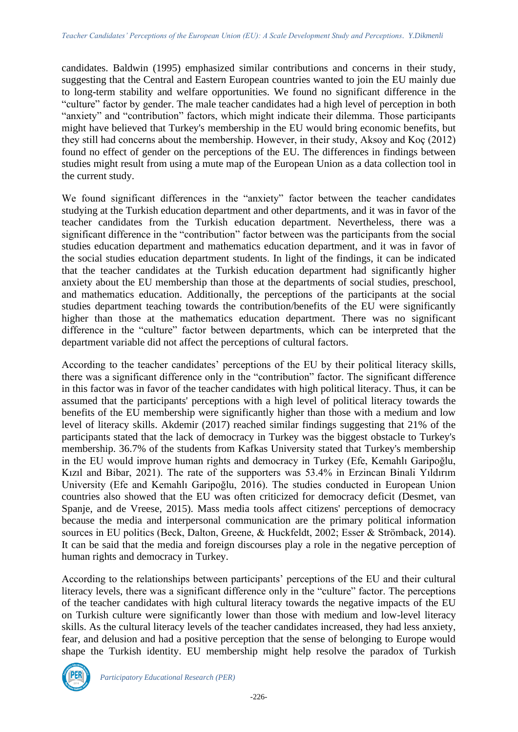candidates. Baldwin (1995) emphasized similar contributions and concerns in their study, suggesting that the Central and Eastern European countries wanted to join the EU mainly due to long-term stability and welfare opportunities. We found no significant difference in the "culture" factor by gender. The male teacher candidates had a high level of perception in both "anxiety" and "contribution" factors, which might indicate their dilemma. Those participants might have believed that Turkey's membership in the EU would bring economic benefits, but they still had concerns about the membership. However, in their study, Aksoy and Koç (2012) found no effect of gender on the perceptions of the EU. The differences in findings between studies might result from using a mute map of the European Union as a data collection tool in the current study.

We found significant differences in the "anxiety" factor between the teacher candidates studying at the Turkish education department and other departments, and it was in favor of the teacher candidates from the Turkish education department. Nevertheless, there was a significant difference in the "contribution" factor between was the participants from the social studies education department and mathematics education department, and it was in favor of the social studies education department students. In light of the findings, it can be indicated that the teacher candidates at the Turkish education department had significantly higher anxiety about the EU membership than those at the departments of social studies, preschool, and mathematics education. Additionally, the perceptions of the participants at the social studies department teaching towards the contribution/benefits of the EU were significantly higher than those at the mathematics education department. There was no significant difference in the "culture" factor between departments, which can be interpreted that the department variable did not affect the perceptions of cultural factors.

According to the teacher candidates' perceptions of the EU by their political literacy skills, there was a significant difference only in the "contribution" factor. The significant difference in this factor was in favor of the teacher candidates with high political literacy. Thus, it can be assumed that the participants' perceptions with a high level of political literacy towards the benefits of the EU membership were significantly higher than those with a medium and low level of literacy skills. Akdemir (2017) reached similar findings suggesting that 21% of the participants stated that the lack of democracy in Turkey was the biggest obstacle to Turkey's membership. 36.7% of the students from Kafkas University stated that Turkey's membership in the EU would improve human rights and democracy in Turkey (Efe, Kemahlı Garipoğlu, Kızıl and Bibar, 2021). The rate of the supporters was 53.4% in Erzincan Binali Yıldırım University (Efe and Kemahlı Garipoğlu, 2016). The studies conducted in European Union countries also showed that the EU was often criticized for democracy deficit (Desmet, van Spanje, and de Vreese, 2015). Mass media tools affect citizens' perceptions of democracy because the media and interpersonal communication are the primary political information sources in EU politics (Beck, Dalton, Greene, & Huckfeldt, 2002; Esser & Strömback, 2014). It can be said that the media and foreign discourses play a role in the negative perception of human rights and democracy in Turkey.

According to the relationships between participants' perceptions of the EU and their cultural literacy levels, there was a significant difference only in the "culture" factor. The perceptions of the teacher candidates with high cultural literacy towards the negative impacts of the EU on Turkish culture were significantly lower than those with medium and low-level literacy skills. As the cultural literacy levels of the teacher candidates increased, they had less anxiety, fear, and delusion and had a positive perception that the sense of belonging to Europe would shape the Turkish identity. EU membership might help resolve the paradox of Turkish

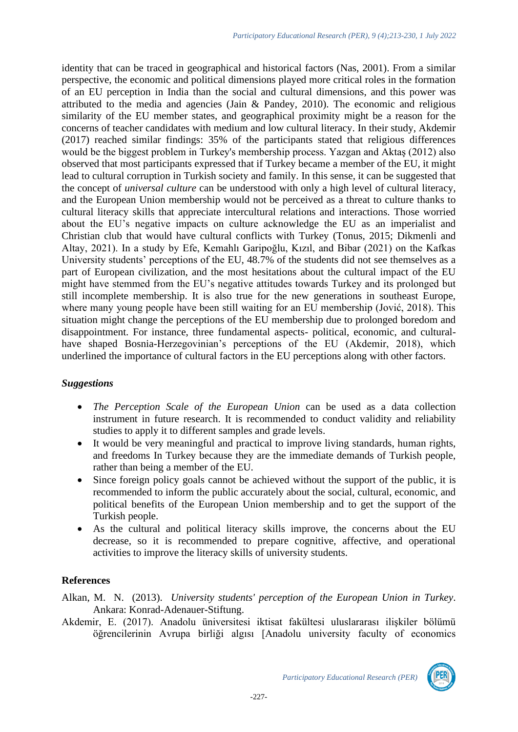identity that can be traced in geographical and historical factors (Nas, 2001). From a similar perspective, the economic and political dimensions played more critical roles in the formation of an EU perception in India than the social and cultural dimensions, and this power was attributed to the media and agencies (Jain & Pandey, 2010). The economic and religious similarity of the EU member states, and geographical proximity might be a reason for the concerns of teacher candidates with medium and low cultural literacy. In their study, Akdemir (2017) reached similar findings: 35% of the participants stated that religious differences would be the biggest problem in Turkey's membership process. Yazgan and Aktaş (2012) also observed that most participants expressed that if Turkey became a member of the EU, it might lead to cultural corruption in Turkish society and family. In this sense, it can be suggested that the concept of *universal culture* can be understood with only a high level of cultural literacy, and the European Union membership would not be perceived as a threat to culture thanks to cultural literacy skills that appreciate intercultural relations and interactions. Those worried about the EU's negative impacts on culture acknowledge the EU as an imperialist and Christian club that would have cultural conflicts with Turkey (Tonus, 2015; Dikmenli and Altay, 2021). In a study by Efe, Kemahlı Garipoğlu, Kızıl, and Bibar (2021) on the Kafkas University students' perceptions of the EU, 48.7% of the students did not see themselves as a part of European civilization, and the most hesitations about the cultural impact of the EU might have stemmed from the EU's negative attitudes towards Turkey and its prolonged but still incomplete membership. It is also true for the new generations in southeast Europe, where many young people have been still waiting for an EU membership (Jović, 2018). This situation might change the perceptions of the EU membership due to prolonged boredom and disappointment. For instance, three fundamental aspects- political, economic, and culturalhave shaped Bosnia-Herzegovinian's perceptions of the EU (Akdemir, 2018), which underlined the importance of cultural factors in the EU perceptions along with other factors.

# *Suggestions*

- *The Perception Scale of the European Union* can be used as a data collection instrument in future research. It is recommended to conduct validity and reliability studies to apply it to different samples and grade levels.
- It would be very meaningful and practical to improve living standards, human rights, and freedoms In Turkey because they are the immediate demands of Turkish people, rather than being a member of the EU.
- Since foreign policy goals cannot be achieved without the support of the public, it is recommended to inform the public accurately about the social, cultural, economic, and political benefits of the European Union membership and to get the support of the Turkish people.
- As the cultural and political literacy skills improve, the concerns about the EU decrease, so it is recommended to prepare cognitive, affective, and operational activities to improve the literacy skills of university students.

# **References**

Alkan, M. N. (2013). *University students' perception of the European Union in Turkey*. Ankara: Konrad-Adenauer-Stiftung.

Akdemir, E. (2017). Anadolu üniversitesi iktisat fakültesi uluslararası ilişkiler bölümü öğrencilerinin Avrupa birliği algısı [Anadolu university faculty of economics

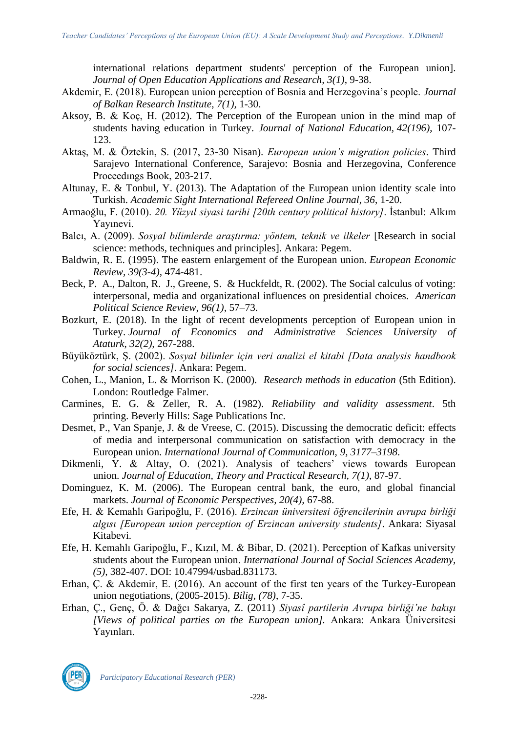international relations department students' perception of the European union]. *Journal of Open Education Applications and Research, 3(1)*, 9-38.

- Akdemir, E. (2018). European union perception of Bosnia and Herzegovina's people. *Journal of Balkan Research Institute, 7(1),* 1-30.
- Aksoy, B. & Koç, H. (2012). The Perception of the European union in the mind map of students having education in Turkey. *Journal of National Education, 42(196)*, 107- 123.
- Aktaş, M. & Öztekin, S. (2017, 23-30 Nisan). *European union's migration policies*. Third Sarajevo International Conference, Sarajevo: Bosnia and Herzegovina, Conference Proceedıngs Book, 203-217.
- Altunay, E. & Tonbul, Y. (2013). The Adaptation of the European union identity scale into Turkish. *Academic Sight International Refereed Online Journal, 36*, 1-20.
- Armaoğlu, F. (2010). *20. Yüzyıl siyasi tarihi [20th century political history]*. İstanbul: Alkım Yayınevi.
- Balcı, A. (2009). *Sosyal bilimlerde araştırma: yöntem, teknik ve ilkeler* [Research in social science: methods, techniques and principles]. Ankara: Pegem.
- Baldwin, R. E. (1995). The eastern enlargement of the European union*. European Economic Review, 39(3-4),* 474-481.
- Beck, P. A., Dalton, R. J., Greene, S. & Huckfeldt, R. (2002). The Social calculus of voting: interpersonal, media and organizational influences on presidential choices. *American Political Science Review, 96(1),* 57–73.
- Bozkurt, E. (2018). In the light of recent developments perception of European union in Turkey. *Journal of Economics and Administrative Sciences University of Ataturk, 32(2),* 267-288.
- Büyüköztürk, Ş. (2002). *Sosyal bilimler için veri analizi el kitabi [Data analysis handbook for social sciences]*. Ankara: Pegem.
- Cohen, L., Manion, L. & Morrison K. (2000). *Research methods in education* (5th Edition). London: Routledge Falmer.
- Carmines, E. G. & Zeller, R. A. (1982). *Reliability and validity assessment*. 5th printing. Beverly Hills: Sage Publications Inc.
- Desmet, P., Van Spanje, J. & de Vreese, C. (2015). Discussing the democratic deficit: effects of media and interpersonal communication on satisfaction with democracy in the European union. *International Journal of Communication, 9, 3177–3198*.
- Dikmenli, Y. & Altay, O. (2021). Analysis of teachers' views towards European union. *Journal of Education, Theory and Practical Research, 7(1)*, 87-97.
- Dominguez, K. M. (2006). The European central bank, the euro, and global financial markets. *Journal of Economic Perspectives, 20(4),* 67-88.
- Efe, H. & Kemahlı Garipoğlu, F. (2016). *Erzincan üniversitesi öğrencilerinin avrupa birliği algısı [European union perception of Erzincan university students]*. Ankara: Siyasal Kitabevi.
- Efe, H. Kemahlı Garipoğlu, F., Kızıl, M. & Bibar, D. (2021). Perception of Kafkas university students about the European union. *International Journal of Social Sciences Academy, (5),* 382-407. DOI: 10.47994/usbad.831173.
- Erhan, Ç. & Akdemir, E. (2016). An account of the first ten years of the Turkey-European union negotiations, (2005-2015). *Bilig, (78)*, 7-35.
- Erhan, Ç., Genç, Ö. & Dağcı Sakarya, Z. (2011) *Siyasî partilerin Avrupa birliği'ne bakışı [Views of political parties on the European union].* Ankara: Ankara Üniversitesi Yayınları.



*Participatory Educational Research (PER)*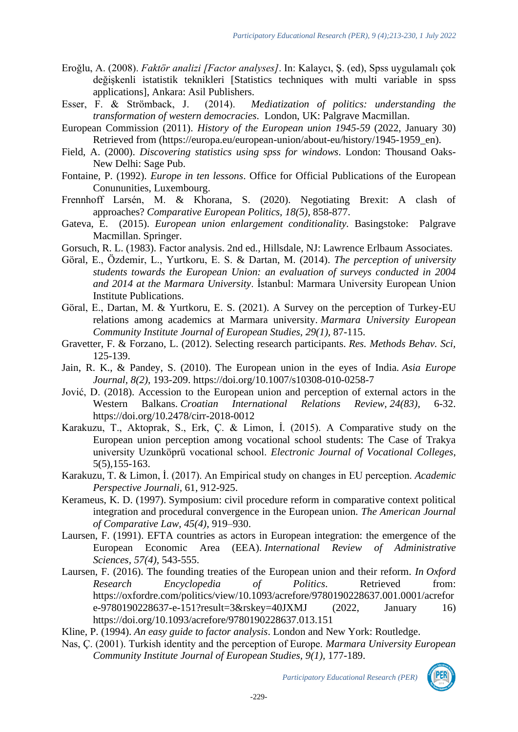- Eroğlu, A. (2008). *Faktör analizi [Factor analyses]*. In: Kalaycı, Ş. (ed), Spss uygulamalı çok değişkenli istatistik teknikleri [Statistics techniques with multi variable in spss applications], Ankara: Asil Publishers.
- Esser, F. & Strömback, J. (2014). *Mediatization of politics: understanding the transformation of western democracies*. London, UK: Palgrave Macmillan.
- European Commission (2011). *History of the European union 1945-59* (2022, January 30) Retrieved from (https://europa.eu/european-union/about-eu/history/1945-1959\_en).
- Field, A. (2000). *Discovering statistics using spss for windows*. London: Thousand Oaks-New Delhi: Sage Pub.
- Fontaine, P. (1992). *Europe in ten lessons*. Office for Official Publications of the European Conununities, Luxembourg.
- Frennhoff Larsén, M. & Khorana, S. (2020). Negotiating Brexit: A clash of approaches? *Comparative European Politics, 18(5),* 858-877.
- Gateva, E. (2015). *European union enlargement conditionality.* Basingstoke: Palgrave Macmillan. Springer.
- Gorsuch, R. L. (1983). Factor analysis. 2nd ed., Hillsdale, NJ: Lawrence Erlbaum Associates.
- Göral, E., Özdemir, L., Yurtkoru, E. S. & Dartan, M. (2014). *The perception of university students towards the European Union: an evaluation of surveys conducted in 2004 and 2014 at the Marmara University*. İstanbul: Marmara University European Union Institute Publications.
- Göral, E., Dartan, M. & Yurtkoru, E. S. (2021). A Survey on the perception of Turkey-EU relations among academics at Marmara university. *Marmara University European Community Institute Journal of European Studies, 29(1),* 87-115.
- Gravetter, F. & Forzano, L. (2012). Selecting research participants. *Res. Methods Behav. Sci,* 125-139.
- Jain, R. K., & Pandey, S. (2010). The European union in the eyes of India. *Asia Europe Journal, 8(2)*, 193-209. https://doi.org/10.1007/s10308-010-0258-7
- Jović, D. (2018). Accession to the European union and perception of external actors in the Western Balkans. *Croatian International Relations Review, 24(83),* 6-32. <https://doi.org/10.2478/cirr-2018-0012>
- Karakuzu, T., Aktoprak, S., Erk, Ç. & Limon, İ. (2015). A Comparative study on the European union perception among vocational school students: The Case of Trakya university Uzunköprü vocational school. *Electronic Journal of Vocational Colleges*, 5(5),155-163.
- Karakuzu, T. & Limon, İ. (2017). An Empirical study on changes in EU perception. *Academic Perspective Journali,* 61, 912-925.
- Kerameus, K. D. (1997). Symposium: civil procedure reform in comparative context political integration and procedural convergence in the European union. *The American Journal of Comparative Law, 45(4)*, 919–930.
- Laursen, F. (1991). EFTA countries as actors in European integration: the emergence of the European Economic Area (EEA). *International Review of Administrative Sciences, 57(4),* 543-555.
- Laursen, F. (2016). The founding treaties of the European union and their reform. *In Oxford Research Encyclopedia of Politics*. Retrieved from: https://oxfordre.com/politics/view/10.1093/acrefore/9780190228637.001.0001/acrefor e-9780190228637-e-151?result=3&rskey=40JXMJ (2022, January 16) <https://doi.org/10.1093/acrefore/9780190228637.013.151>
- Kline, P. (1994). *An easy guide to factor analysis*. London and New York: Routledge.
- Nas, Ç. (2001). Turkish identity and the perception of Europe. *Marmara University European Community Institute Journal of European Studies, 9(1),* 177-189.